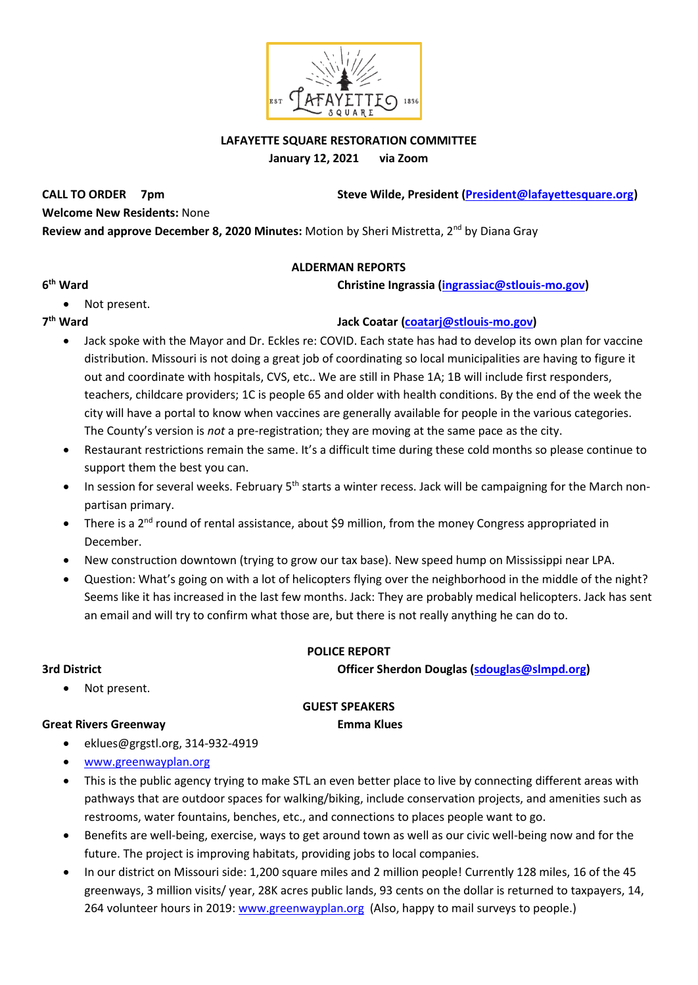

### **LAFAYETTE SQUARE RESTORATION COMMITTEE January 12, 2021 via Zoom**

CALL TO ORDER 7pm Steve Wilde, President (President @lafayettesquare.org)

**Welcome New Residents:** None

**Review and approve December 8, 2020 Minutes:** Motion by Sheri Mistretta, 2<sup>nd</sup> by Diana Gray

## **ALDERMAN REPORTS**

**christine Ingrassia [\(ingrassiac@stlouis-mo.gov\)](mailto:ingrassiac@stlouis-mo.gov)** 

**6** • Not present.

7<sup>th</sup> Ward

## **th Ward Jack Coatar [\(coatarj@stlouis-mo.gov\)](mailto:coatarj@stlouis-mo.gov)**

- Jack spoke with the Mayor and Dr. Eckles re: COVID. Each state has had to develop its own plan for vaccine distribution. Missouri is not doing a great job of coordinating so local municipalities are having to figure it out and coordinate with hospitals, CVS, etc.. We are still in Phase 1A; 1B will include first responders, teachers, childcare providers; 1C is people 65 and older with health conditions. By the end of the week the city will have a portal to know when vaccines are generally available for people in the various categories. The County's version is *not* a pre-registration; they are moving at the same pace as the city.
- Restaurant restrictions remain the same. It's a difficult time during these cold months so please continue to support them the best you can.
- In session for several weeks. February 5<sup>th</sup> starts a winter recess. Jack will be campaigning for the March nonpartisan primary.
- There is a 2<sup>nd</sup> round of rental assistance, about \$9 million, from the money Congress appropriated in December.
- New construction downtown (trying to grow our tax base). New speed hump on Mississippi near LPA.
- Question: What's going on with a lot of helicopters flying over the neighborhood in the middle of the night? Seems like it has increased in the last few months. Jack: They are probably medical helicopters. Jack has sent an email and will try to confirm what those are, but there is not really anything he can do to.

Not present.

## **POLICE REPORT**

**3rd District Officer Sherdon Douglas [\(sdouglas@slmpd.org\)](mailto:sdouglas@slmpd.org)** 

### **GUEST SPEAKERS**

### **Great Rivers Greenway Emma Klues**

- eklues@grgstl.org, 314-932-4919
- [www.greenwayplan.org](http://www.greenwayplan.org/)
- This is the public agency trying to make STL an even better place to live by connecting different areas with pathways that are outdoor spaces for walking/biking, include conservation projects, and amenities such as restrooms, water fountains, benches, etc., and connections to places people want to go.
- Benefits are well-being, exercise, ways to get around town as well as our civic well-being now and for the future. The project is improving habitats, providing jobs to local companies.
- In our district on Missouri side: 1,200 square miles and 2 million people! Currently 128 miles, 16 of the 45 greenways, 3 million visits/ year, 28K acres public lands, 93 cents on the dollar is returned to taxpayers, 14, 264 volunteer hours in 2019[: www.greenwayplan.org](http://www.greenwayplan.org/) (Also, happy to mail surveys to people.)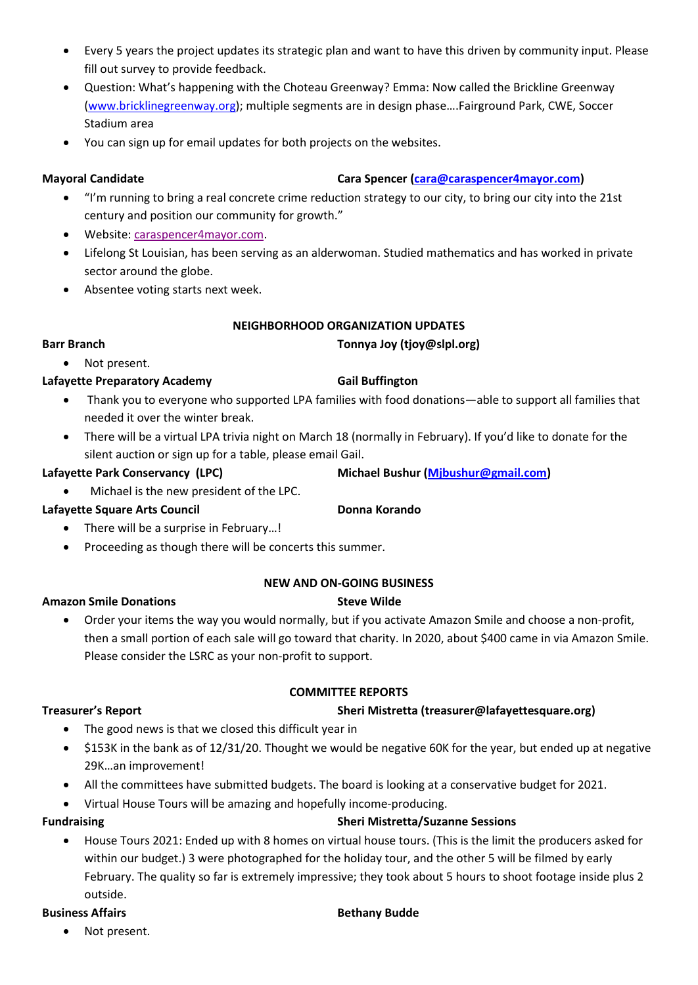- Every 5 years the project updates its strategic plan and want to have this driven by community input. Please fill out survey to provide feedback.
- Question: What's happening with the Choteau Greenway? Emma: Now called the Brickline Greenway [\(www.bricklinegreenway.org\)](http://www.bricklinegreenway.org/); multiple segments are in design phase….Fairground Park, CWE, Soccer Stadium area
- You can sign up for email updates for both projects on the websites.

### **Mayoral Candidate Cara Spencer [\(cara@caraspencer4mayor.com\)](mailto:cara@caraspencer4mayor.com)**

- "I'm running to bring a real concrete crime reduction strategy to our city, to bring our city into the 21st century and position our community for growth."
- Website[: caraspencer4mayor.com.](caraspencer4mayor.com)
- Lifelong St Louisian, has been serving as an alderwoman. Studied mathematics and has worked in private sector around the globe.
- Absentee voting starts next week.

### **NEIGHBORHOOD ORGANIZATION UPDATES**

### **Barr Branch Tonnya Joy (tjoy@slpl.org)**

# • Not present.

### Lafayette Preparatory Academy **Gail Buffington**

- Thank you to everyone who supported LPA families with food donations—able to support all families that needed it over the winter break.
- There will be a virtual LPA trivia night on March 18 (normally in February). If you'd like to donate for the silent auction or sign up for a table, please email Gail.

**Lafayette Park Conservancy (LPC) Michael Bushur [\(Mjbushur@gmail.com\)](mailto:Mjbushur@gmail.com)** 

• Michael is the new president of the LPC.

## Lafayette Square Arts Council **Donna Korando**

- There will be a surprise in February…!
- Proceeding as though there will be concerts this summer.

## **NEW AND ON-GOING BUSINESS**

### **Amazon Smile Donations Steve Wilde**

• Order your items the way you would normally, but if you activate Amazon Smile and choose a non-profit, then a small portion of each sale will go toward that charity. In 2020, about \$400 came in via Amazon Smile. Please consider the LSRC as your non-profit to support.

**COMMITTEE REPORTS**

### **Treasurer's Report Sheri Mistretta (treasurer@lafayettesquare.org)**

# • The good news is that we closed this difficult year in

- \$153K in the bank as of 12/31/20. Thought we would be negative 60K for the year, but ended up at negative 29K…an improvement!
- All the committees have submitted budgets. The board is looking at a conservative budget for 2021.
- Virtual House Tours will be amazing and hopefully income-producing.

## **Fundraising Sheri Mistretta/Suzanne Sessions**

• House Tours 2021: Ended up with 8 homes on virtual house tours. (This is the limit the producers asked for within our budget.) 3 were photographed for the holiday tour, and the other 5 will be filmed by early February. The quality so far is extremely impressive; they took about 5 hours to shoot footage inside plus 2 outside.

### **Business Affairs Bethany Budde**

Not present.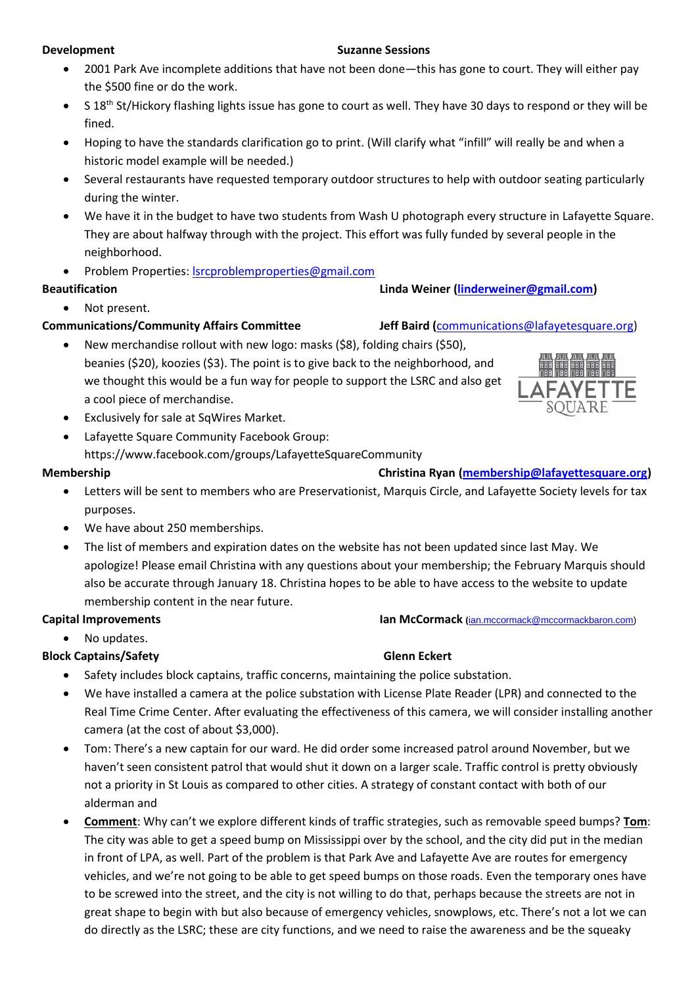### **Development** Suzanne Sessions

- 2001 Park Ave incomplete additions that have not been done—this has gone to court. They will either pay the \$500 fine or do the work.
- $\bullet$  S 18<sup>th</sup> St/Hickory flashing lights issue has gone to court as well. They have 30 days to respond or they will be fined.
- Hoping to have the standards clarification go to print. (Will clarify what "infill" will really be and when a historic model example will be needed.)
- Several restaurants have requested temporary outdoor structures to help with outdoor seating particularly during the winter.
- We have it in the budget to have two students from Wash U photograph every structure in Lafayette Square. They are about halfway through with the project. This effort was fully funded by several people in the neighborhood.
- Problem Properties: [lsrcproblemproperties@gmail.com](mailto:lsrcproblemproperties@gmail.com)

### **Beautification Linda Weiner [\(linderweiner@gmail.com\)](mailto:linderweiner@gmail.com)**

## • Not present.

# **Communications/Community Affairs Committee Jeff Baird (**[communications@lafayetesquare.org\)](mailto:communications@lafayetesquare.org)

- New merchandise rollout with new logo: masks (\$8), folding chairs (\$50), beanies (\$20), koozies (\$3). The point is to give back to the neighborhood, and we thought this would be a fun way for people to support the LSRC and also get a cool piece of merchandise.
- Exclusively for sale at SqWires Market.
- Lafayette Square Community Facebook Group: https://www.facebook.com/groups/LafayetteSquareCommunity

- Letters will be sent to members who are Preservationist, Marquis Circle, and Lafayette Society levels for tax purposes.
- We have about 250 memberships.
- The list of members and expiration dates on the website has not been updated since last May. We apologize! Please email Christina with any questions about your membership; the February Marquis should also be accurate through January 18. Christina hopes to be able to have access to the website to update membership content in the near future.

## **Capital Improvements Ian McCormack (**[ian.mccormack@mccormackbaron.com\)](mailto:ian.mccormack@mccormackbaron.com)

• No updates.

## **Block Captains/Safety Glenn Eckert** Glenn Eckert

- Safety includes block captains, traffic concerns, maintaining the police substation.
- We have installed a camera at the police substation with License Plate Reader (LPR) and connected to the Real Time Crime Center. After evaluating the effectiveness of this camera, we will consider installing another camera (at the cost of about \$3,000).
- Tom: There's a new captain for our ward. He did order some increased patrol around November, but we haven't seen consistent patrol that would shut it down on a larger scale. Traffic control is pretty obviously not a priority in St Louis as compared to other cities. A strategy of constant contact with both of our alderman and
- **Comment**: Why can't we explore different kinds of traffic strategies, such as removable speed bumps? **Tom**: The city was able to get a speed bump on Mississippi over by the school, and the city did put in the median in front of LPA, as well. Part of the problem is that Park Ave and Lafayette Ave are routes for emergency vehicles, and we're not going to be able to get speed bumps on those roads. Even the temporary ones have to be screwed into the street, and the city is not willing to do that, perhaps because the streets are not in great shape to begin with but also because of emergency vehicles, snowplows, etc. There's not a lot we can do directly as the LSRC; these are city functions, and we need to raise the awareness and be the squeaky



### **Membership Christina Ryan [\(membership@lafayettesquare.org\)](mailto:membership@lafayettesquare.org)**